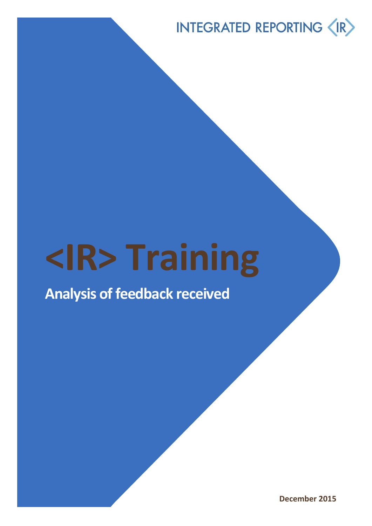# **<IR> Training**

## **Analysis of feedback received**

**December 2015**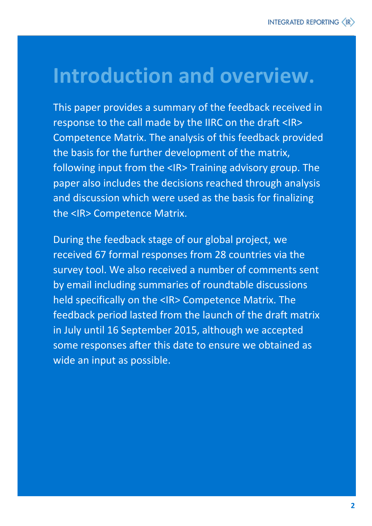# **Introduction and overview.**

This paper provides a summary of the feedback received in response to the call made by the IIRC on the draft <IR> Competence Matrix. The analysis of this feedback provided the basis for the further development of the matrix, following input from the <IR> Training advisory group. The paper also includes the decisions reached through analysis and discussion which were used as the basis for finalizing the <IR> Competence Matrix.

During the feedback stage of our global project, we received 67 formal responses from 28 countries via the survey tool. We also received a number of comments sent by email including summaries of roundtable discussions held specifically on the <IR> Competence Matrix. The feedback period lasted from the launch of the draft matrix in July until 16 September 2015, although we accepted some responses after this date to ensure we obtained as wide an input as possible.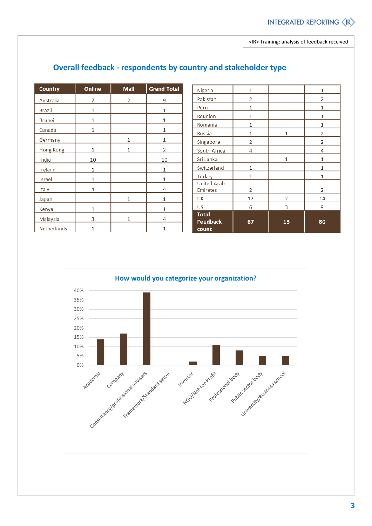| <b>Country</b> | Online | <b>Mail</b> | <b>Grand Total</b> |
|----------------|--------|-------------|--------------------|
| Australia      | 7      | 2           | 9                  |
| <b>Brazil</b>  | 1      |             | 1                  |
| <b>Brunei</b>  | 1      |             | 1                  |
| Canada         | 1      |             | 1                  |
| Germany        |        | 1           | 1                  |
| Hong Kong      | 1      | 1           | 2                  |
| India          | 10     |             | 10                 |
| Ireland        | 1      |             | $\mathbf{1}$       |
| Israel         | 1      |             | 1                  |
| Italy          | 4      |             | 4                  |
| Japan          |        | 1           | 1                  |
| Kenya          | 1      |             | $\mathbf{1}$       |
| Malaysia       | 3      | 1           | 4                  |
| Netherlands    | 1      |             | 1                  |

#### **Overall feedback - respondents by country and stakeholder type**

| Nigeria                                  | 1            |    | 1            |
|------------------------------------------|--------------|----|--------------|
| Pakistan                                 | 2            |    | 2            |
| Peru                                     | $\mathbf{1}$ |    | 1            |
| Reunion                                  | 1            |    | 1            |
| Romania                                  | 1            |    | 1            |
| Russia                                   | 1            | 1  | 2            |
| Singapore                                | 2            |    | 2            |
| South Africa                             | 4            |    | 4            |
| Sri Lanka                                |              | 1  | 1            |
| Switzerland                              | 1            |    | 1            |
| Turkey                                   | 1            |    | $\mathbf{1}$ |
| <b>United Arab</b><br>Emirates           | 2            |    | 2            |
| UK                                       | 12           | 2  | 14           |
| <b>US</b>                                | 6            | 3  | 9            |
| <b>Total</b><br><b>Feedback</b><br>count | 67           | 13 | 80           |

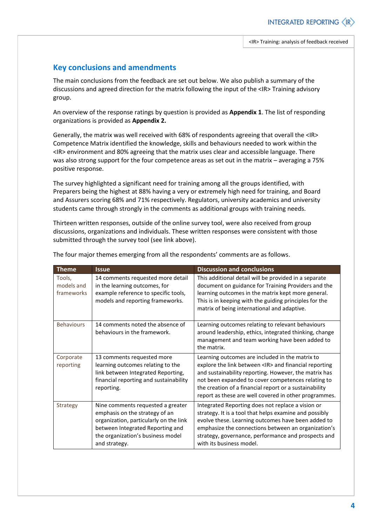#### **Key conclusions and amendments**

The main conclusions from the feedback are set out below. We also publish a summary of the discussions and agreed direction for the matrix following the input of the <IR> Training advisory group.

An overview of the response ratings by question is provided as **Appendix 1**. The list of responding organizations is provided as **Appendix 2.**

Generally, the matrix was well received with 68% of respondents agreeing that overall the <IR> Competence Matrix identified the knowledge, skills and behaviours needed to work within the <IR> environment and 80% agreeing that the matrix uses clear and accessible language. There was also strong support for the four competence areas as set out in the matrix – averaging a 75% positive response.

The survey highlighted a significant need for training among all the groups identified, with Preparers being the highest at 88% having a very or extremely high need for training, and Board and Assurers scoring 68% and 71% respectively. Regulators, university academics and university students came through strongly in the comments as additional groups with training needs.

Thirteen written responses, outside of the online survey tool, were also received from group discussions, organizations and individuals. These written responses were consistent with those submitted through the survey tool (see link above).

| <b>Theme</b>                       | <b>Issue</b>                                                                                                                                                                                            | <b>Discussion and conclusions</b>                                                                                                                                                                                                                                                                                                                   |
|------------------------------------|---------------------------------------------------------------------------------------------------------------------------------------------------------------------------------------------------------|-----------------------------------------------------------------------------------------------------------------------------------------------------------------------------------------------------------------------------------------------------------------------------------------------------------------------------------------------------|
| Tools,<br>models and<br>frameworks | 14 comments requested more detail<br>in the learning outcomes, for<br>example reference to specific tools,<br>models and reporting frameworks.                                                          | This additional detail will be provided in a separate<br>document on guidance for Training Providers and the<br>learning outcomes in the matrix kept more general.<br>This is in keeping with the guiding principles for the<br>matrix of being international and adaptive.                                                                         |
| <b>Behaviours</b>                  | 14 comments noted the absence of<br>behaviours in the framework.                                                                                                                                        | Learning outcomes relating to relevant behaviours<br>around leadership, ethics, integrated thinking, change<br>management and team working have been added to<br>the matrix.                                                                                                                                                                        |
| Corporate<br>reporting             | 13 comments requested more<br>learning outcomes relating to the<br>link between Integrated Reporting,<br>financial reporting and sustainability<br>reporting.                                           | Learning outcomes are included in the matrix to<br>explore the link between <ir> and financial reporting<br/>and sustainability reporting. However, the matrix has<br/>not been expanded to cover competences relating to<br/>the creation of a financial report or a sustainability<br/>report as these are well covered in other programmes.</ir> |
| Strategy                           | Nine comments requested a greater<br>emphasis on the strategy of an<br>organization, particularly on the link<br>between Integrated Reporting and<br>the organization's business model<br>and strategy. | Integrated Reporting does not replace a vision or<br>strategy. It is a tool that helps examine and possibly<br>evolve these. Learning outcomes have been added to<br>emphasize the connections between an organization's<br>strategy, governance, performance and prospects and<br>with its business model.                                         |

The four major themes emerging from all the respondents' comments are as follows.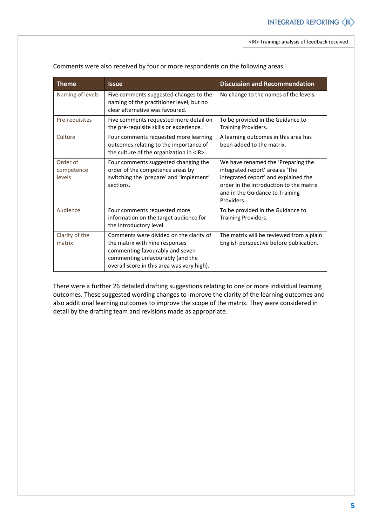| <b>Theme</b>                     | <b>Issue</b>                                                                                                                                                                                   | <b>Discussion and Recommendation</b>                                                                                                                                                                      |
|----------------------------------|------------------------------------------------------------------------------------------------------------------------------------------------------------------------------------------------|-----------------------------------------------------------------------------------------------------------------------------------------------------------------------------------------------------------|
| Naming of levels                 | Five comments suggested changes to the<br>naming of the practitioner level, but no<br>clear alternative was favoured.                                                                          | No change to the names of the levels.                                                                                                                                                                     |
| Pre-requisites                   | Five comments requested more detail on<br>the pre-requisite skills or experience.                                                                                                              | To be provided in the Guidance to<br>Training Providers.                                                                                                                                                  |
| Culture                          | Four comments requested more learning<br>outcomes relating to the importance of<br>the culture of the organization in <ir>.</ir>                                                               | A learning outcomes in this area has<br>been added to the matrix.                                                                                                                                         |
| Order of<br>competence<br>levels | Four comments suggested changing the<br>order of the competence areas by<br>switching the 'prepare' and 'implement'<br>sections.                                                               | We have renamed the 'Preparing the<br>integrated report' area as 'The<br>integrated report' and explained the<br>order in the introduction to the matrix<br>and in the Guidance to Training<br>Providers. |
| Audience                         | Four comments requested more<br>information on the target audience for<br>the Introductory level.                                                                                              | To be provided in the Guidance to<br>Training Providers.                                                                                                                                                  |
| Clarity of the<br>matrix         | Comments were divided on the clarity of<br>the matrix with nine responses<br>commenting favourably and seven<br>commenting unfavourably (and the<br>overall score in this area was very high). | The matrix will be reviewed from a plain<br>English perspective before publication.                                                                                                                       |

Comments were also received by four or more respondents on the following areas.

There were a further 26 detailed drafting suggestions relating to one or more individual learning outcomes. These suggested wording changes to improve the clarity of the learning outcomes and also additional learning outcomes to improve the scope of the matrix. They were considered in detail by the drafting team and revisions made as appropriate.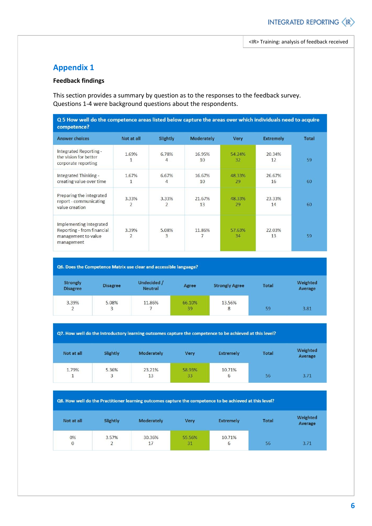#### **Appendix 1**

#### **Feedback findings**

This section provides a summary by question as to the responses to the feedback survey. Questions 1-4 were background questions about the respondents.

| Q 5 How well do the competence areas listed below capture the areas over which individuals need to acquire |  |
|------------------------------------------------------------------------------------------------------------|--|
| competence?                                                                                                |  |

| <b>Answer choices</b>                                                                      | Not at all | Slightly                | <b>Moderately</b> | <b>Very</b>  | <b>Extremely</b> | <b>Total</b> |
|--------------------------------------------------------------------------------------------|------------|-------------------------|-------------------|--------------|------------------|--------------|
| Integrated Reporting -<br>the vision for better<br>corporate reporting                     | 1.69%<br>1 | 6.78%<br>4              | 16.95%<br>10      | 54.24%<br>32 | 20.34%<br>12     | 59           |
| Integrated Thinking -<br>creating value over time                                          | 1.67%<br>1 | 6.67%<br>4              | 16.67%<br>10      | 48.33%<br>29 | 26.67%<br>16     | 60           |
| Preparing the integrated<br>report - communicating<br>value creation                       | 3.33%<br>2 | 3.33%<br>$\overline{2}$ | 21.67%<br>13      | 48.33%<br>29 | 23.33%<br>14     | 60           |
| Implementing Integrated<br>Reporting - from financial<br>management to value<br>management | 3.39%<br>2 | 5.08%<br>3              | 11.86%<br>7       | 57.63%<br>34 | 22.03%<br>13     | 59           |

| Q6. Does the Competence Matrix use clear and accessible language? |                 |                               |              |                       |              |                     |  |
|-------------------------------------------------------------------|-----------------|-------------------------------|--------------|-----------------------|--------------|---------------------|--|
| <b>Strongly</b><br><b>Disagree</b>                                | <b>Disagree</b> | Undecided /<br><b>Neutral</b> | Agree        | <b>Strongly Agree</b> | <b>Total</b> | Weighted<br>Average |  |
| 3.39%<br>2                                                        | 5.08%<br>3      | 11.86%                        | 66.10%<br>39 | 13.56%<br>8           | 59           | 3.81                |  |

Q7. How well do the Introductory learning outcomes capture the competence to be achieved at this level?

| Not at all | Slightly   | Moderately   | <b>Very</b>  | <b>Extremely</b> | <b>Total</b> | Weighted<br>Average |
|------------|------------|--------------|--------------|------------------|--------------|---------------------|
| 1.79%<br>1 | 5.36%<br>3 | 23.21%<br>13 | 58.93%<br>33 | 10.71%<br>6      | 56           | 3.71                |

Q8. How well do the Practitioner learning outcomes capture the competence to be achieved at this level?

| Not at all     | Slightly                | <b>Moderately</b> | <b>Very</b>  | <b>Extremely</b> | <b>Total</b> | Weighted<br>Average |
|----------------|-------------------------|-------------------|--------------|------------------|--------------|---------------------|
| 0%<br>$\bf{0}$ | 3.57%<br>$\overline{2}$ | 30.36%<br>17      | 55.56%<br>31 | 10.71%<br>p      | 56           | 3.71                |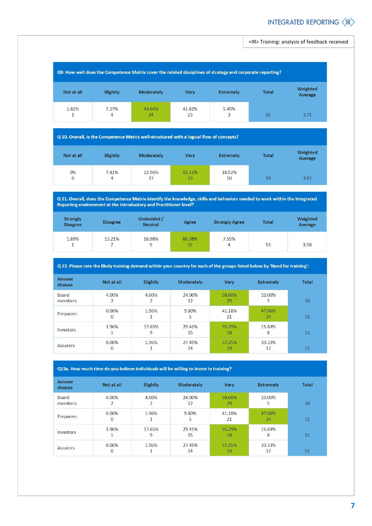<IR> Training: analysis of feedback received



Q 10. Overall, is the Competence Matrix well-structured with a logical flow of concepts?

| Not at all         | Slightly   | Moderately   | <b>Very</b>  | <b>Extremely</b> | <b>Total</b> | Weighted<br>Average |
|--------------------|------------|--------------|--------------|------------------|--------------|---------------------|
| 0%<br>$\mathbf{0}$ | 7.41%<br>4 | 12.96%<br>27 | 61.11%<br>33 | 18.52%<br>10     | 54           | 3.91                |

Q 11. Overall, does the Competence Matrix identify the knowledge, skills and behaviors needed to work within the Integrated Reporting environment at the Introductory and Practitioner level?

| <b>Strongly</b><br><b>Disagree</b> | <b>Disagree</b> | Undecided /<br><b>Neutral</b> | Agree        | <b>Strongly Agree</b>   | <b>Total</b> | Weighted<br>Average |
|------------------------------------|-----------------|-------------------------------|--------------|-------------------------|--------------|---------------------|
| 1.89%<br>$\mathbf{1}$              | 13.21%          | 16.98%<br>9                   | 60.38%<br>32 | 7.55%<br>$\overline{4}$ | 53           | 3.58                |

|  | Q 12. Please rate the likely training demand within your country for each of the groups listed below by 'Need for training': |
|--|------------------------------------------------------------------------------------------------------------------------------|
|  |                                                                                                                              |

| <b>Answer</b><br>choices | Not at all            | Slightly    | <b>Moderately</b> | <b>Very</b>  | <b>Extremely</b> | <b>Total</b> |
|--------------------------|-----------------------|-------------|-------------------|--------------|------------------|--------------|
| Board<br>members         | 4.00%<br>2            | 4.00%<br>∠  | 24.00%<br>12      | 58.00%<br>29 | 10.00%<br>5      | 50           |
| Preparers                | 0.00%<br>$\mathbf{0}$ | 1.96%       | 9.80%<br>5        | 41.18%<br>21 | 47.06%<br>24     | 51           |
| Investors                | 1.96%                 | 17.65%<br>9 | 29.41%<br>15      | 35.29%<br>18 | 15.69%<br>8      | 51           |
| <b>Assurers</b>          | 0.00%<br>$\mathbf{0}$ | 1.96%       | 27.45%<br>14      | 37.25%<br>19 | 33.33%<br>17     | 51           |

Q13a. How much time do you believe individuals will be willing to invest in training?

| <b>Answer</b><br>choices | Not at all            | Slightly    | <b>Moderately</b> | <b>Very</b>  | <b>Extremely</b> | <b>Total</b> |
|--------------------------|-----------------------|-------------|-------------------|--------------|------------------|--------------|
| Board<br>members         | 4.00%<br>2            | 4.00%       | 24.00%<br>12      | 58.00%<br>29 | 10.00%<br>5      | 50           |
| Preparers                | 0.00%<br>$\mathbf{0}$ | 1.96%       | 9.80%<br>5        | 41.18%<br>21 | 47.06%<br>24     | 51           |
| Investors                | 1.96%                 | 17.65%<br>9 | 29.41%<br>15      | 35.29%<br>18 | 15.69%<br>8      | 51           |
| <b>Assurers</b>          | 0.00%<br>0            | 1.96%       | 27.45%<br>14      | 37.25%<br>19 | 33.33%<br>17     | 51           |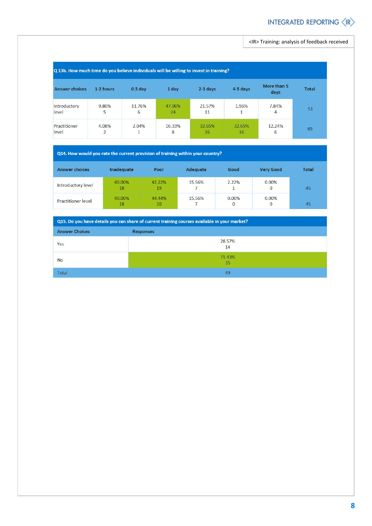<IR> Training: analysis of feedback received

| Q 13b. How much time do you believe individuals will be willing to invest in training? |                                   |             |              |              |              |                     |              |
|----------------------------------------------------------------------------------------|-----------------------------------|-------------|--------------|--------------|--------------|---------------------|--------------|
| <b>Answer choices</b>                                                                  | 1-2 hours                         | $0.5$ day   | 1 day        | 2-3 days     | 4-5 days     | More than 5<br>days | <b>Total</b> |
| Introductory<br>level                                                                  | 9.80%<br>5                        | 11.76%<br>6 | 47.06%<br>24 | 21.57%<br>11 | 1.96%<br>1   | 7.84%<br>4          | 51           |
| Practitioner<br>level                                                                  | 4.08%<br>$\overline{\phantom{a}}$ | 2.04%       | 16.33%<br>8  | 32.65%<br>16 | 32.65%<br>16 | 12.24%<br>6         | 49           |

#### Q14. How would you rate the current provision of training within your country?

| <b>Answer choices</b> | Inadequate   | Poor         | Adequate | Good       | <b>Very Good</b> | <b>Total</b> |
|-----------------------|--------------|--------------|----------|------------|------------------|--------------|
| Introductory level    | 40.00%<br>18 | 42.22%<br>19 | 15.56%   | 2.22%      | 0.00%<br>0       | 45           |
| Practitioner level    | 40.00%<br>18 | 44.44%<br>20 | 15.56%   | 0.00%<br>0 | 0.00%<br>0       | 45           |

| Q15. Do you have details you can share of current training courses available in your market? |                  |  |  |  |  |
|----------------------------------------------------------------------------------------------|------------------|--|--|--|--|
| <b>Answer Choices</b>                                                                        | <b>Responses</b> |  |  |  |  |
| Yes                                                                                          | 28.57%<br>14     |  |  |  |  |
| No                                                                                           | 71.43%<br>35     |  |  |  |  |
| <b>Total</b>                                                                                 | 49               |  |  |  |  |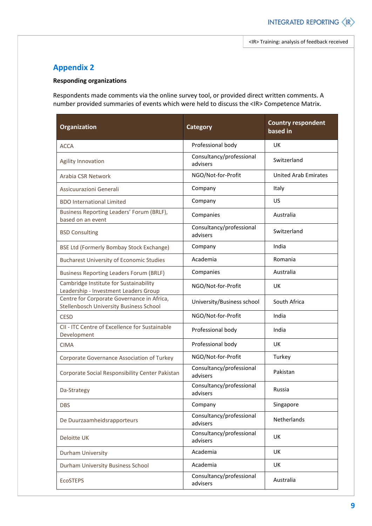#### **Appendix 2**

#### **Responding organizations**

Respondents made comments via the online survey tool, or provided direct written comments. A number provided summaries of events which were held to discuss the <IR> Competence Matrix.

| Organization                                                                                 | <b>Category</b>                      | <b>Country respondent</b><br>based in |  |
|----------------------------------------------------------------------------------------------|--------------------------------------|---------------------------------------|--|
| <b>ACCA</b>                                                                                  | Professional body                    | UK                                    |  |
| Agility Innovation                                                                           | Consultancy/professional<br>advisers | Switzerland                           |  |
| Arabia CSR Network                                                                           | NGO/Not-for-Profit                   | <b>United Arab Emirates</b>           |  |
| Assicuurazioni Generali                                                                      | Company                              | Italy                                 |  |
| <b>BDO International Limited</b>                                                             | Company                              | US                                    |  |
| Business Reporting Leaders' Forum (BRLF),<br>based on an event                               | Companies                            | Australia                             |  |
| <b>BSD Consulting</b>                                                                        | Consultancy/professional<br>advisers | Switzerland                           |  |
| BSE Ltd (Formerly Bombay Stock Exchange)                                                     | Company                              | India                                 |  |
| <b>Bucharest University of Economic Studies</b>                                              | Academia                             | Romania                               |  |
| <b>Business Reporting Leaders Forum (BRLF)</b>                                               | Companies                            | Australia                             |  |
| Cambridge Institute for Sustainability<br>Leadership - Investment Leaders Group              | NGO/Not-for-Profit                   | UK                                    |  |
| Centre for Corporate Governance in Africa,<br><b>Stellenbosch University Business School</b> | University/Business school           | South Africa                          |  |
| <b>CESD</b>                                                                                  | NGO/Not-for-Profit                   | India                                 |  |
| CII - ITC Centre of Excellence for Sustainable<br>Development                                | Professional body                    | India                                 |  |
| <b>CIMA</b>                                                                                  | Professional body                    | UK                                    |  |
| Corporate Governance Association of Turkey                                                   | NGO/Not-for-Profit                   | Turkey                                |  |
| Corporate Social Responsibility Center Pakistan                                              | Consultancy/professional<br>advisers | Pakistan                              |  |
| Da-Strategy                                                                                  | Consultancy/professional<br>advisers | Russia                                |  |
| <b>DBS</b>                                                                                   | Company                              | Singapore                             |  |
| De Duurzaamheidsrapporteurs                                                                  | Consultancy/professional<br>advisers | Netherlands                           |  |
| Deloitte UK                                                                                  | Consultancy/professional<br>advisers | UK                                    |  |
| Durham University                                                                            | Academia                             | UK                                    |  |
| Durham University Business School                                                            | Academia                             | <b>UK</b>                             |  |
| <b>EcoSTEPS</b>                                                                              | Consultancy/professional<br>advisers | Australia                             |  |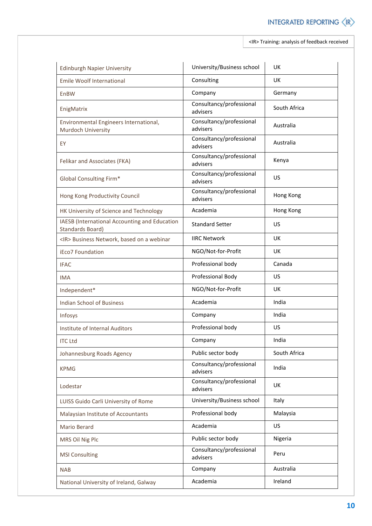<IR> Training: analysis of feedback received

| <b>Edinburgh Napier University</b>                                | University/Business school           | <b>UK</b>    |
|-------------------------------------------------------------------|--------------------------------------|--------------|
| <b>Emile Woolf International</b>                                  | Consulting                           | <b>UK</b>    |
| <b>EnBW</b>                                                       | Company                              | Germany      |
| EnigMatrix                                                        | Consultancy/professional<br>advisers | South Africa |
| Environmental Engineers International,<br>Murdoch University      | Consultancy/professional<br>advisers | Australia    |
| EY                                                                | Consultancy/professional<br>advisers | Australia    |
| Felikar and Associates (FKA)                                      | Consultancy/professional<br>advisers | Kenya        |
| Global Consulting Firm*                                           | Consultancy/professional<br>advisers | US           |
| Hong Kong Productivity Council                                    | Consultancy/professional<br>advisers | Hong Kong    |
| HK University of Science and Technology                           | Academia                             | Hong Kong    |
| IAESB (International Accounting and Education<br>Standards Board) | <b>Standard Setter</b>               | US           |
| <ir> Business Network, based on a webinar</ir>                    | <b>IIRC Network</b>                  | <b>UK</b>    |
| <b>iEco7 Foundation</b>                                           | NGO/Not-for-Profit                   | UK           |
| <b>IFAC</b>                                                       | Professional body                    | Canada       |
| <b>IMA</b>                                                        | Professional Body                    | US.          |
| Independent*                                                      | NGO/Not-for-Profit                   | UK           |
| <b>Indian School of Business</b>                                  | Academia                             | India        |
| Infosys                                                           | Company                              | India        |
| <b>Institute of Internal Auditors</b>                             | Professional body                    | US.          |
| <b>ITC Ltd</b>                                                    | Company                              | India        |
| Johannesburg Roads Agency                                         | Public sector body                   | South Africa |
| <b>KPMG</b>                                                       | Consultancy/professional<br>advisers | India        |
| Lodestar                                                          | Consultancy/professional<br>advisers | UK           |
| LUISS Guido Carli University of Rome                              | University/Business school           | Italy        |
| Malaysian Institute of Accountants                                | Professional body                    | Malaysia     |
| Mario Berard                                                      | Academia                             | US           |
| MRS Oil Nig Plc                                                   | Public sector body                   | Nigeria      |
| <b>MSI Consulting</b>                                             | Consultancy/professional<br>advisers | Peru         |
| <b>NAB</b>                                                        | Company                              | Australia    |
| National University of Ireland, Galway                            | Academia                             | Ireland      |
|                                                                   |                                      |              |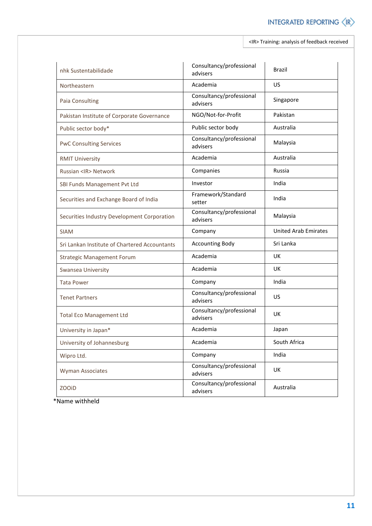<IR> Training: analysis of feedback received

| nhk Sustentabilidade                          | Consultancy/professional<br>advisers | <b>Brazil</b>               |  |
|-----------------------------------------------|--------------------------------------|-----------------------------|--|
| Northeastern                                  | Academia                             | US                          |  |
| <b>Paia Consulting</b>                        | Consultancy/professional<br>advisers | Singapore                   |  |
| Pakistan Institute of Corporate Governance    | NGO/Not-for-Profit                   | Pakistan                    |  |
| Public sector body*                           | Public sector body                   | Australia                   |  |
| <b>PwC Consulting Services</b>                | Consultancy/professional<br>advisers | Malaysia                    |  |
| <b>RMIT University</b>                        | Academia                             | Australia                   |  |
| Russian <ir> Network</ir>                     | Companies                            | Russia                      |  |
| SBI Funds Management Pvt Ltd                  | Investor                             | India                       |  |
| Securities and Exchange Board of India        | Framework/Standard<br>setter         | India                       |  |
| Securities Industry Development Corporation   | Consultancy/professional<br>advisers | Malaysia                    |  |
| <b>SIAM</b>                                   | Company                              | <b>United Arab Emirates</b> |  |
| Sri Lankan Institute of Chartered Accountants | <b>Accounting Body</b>               | Sri Lanka                   |  |
| <b>Strategic Management Forum</b>             | Academia                             | <b>UK</b>                   |  |
| Swansea University                            | Academia                             | <b>UK</b>                   |  |
| <b>Tata Power</b>                             | Company                              | India                       |  |
| <b>Tenet Partners</b>                         | Consultancy/professional<br>advisers | US                          |  |
| <b>Total Eco Management Ltd</b>               | Consultancy/professional<br>advisers | UK                          |  |
| University in Japan*                          | Academia                             | Japan                       |  |
| University of Johannesburg                    | Academia                             | South Africa                |  |
| Wipro Ltd.                                    | Company                              | India                       |  |
| <b>Wyman Associates</b>                       | Consultancy/professional<br>advisers | UK                          |  |
| <b>ZOOID</b>                                  | Consultancy/professional<br>advisers | Australia                   |  |

\*Name withheld